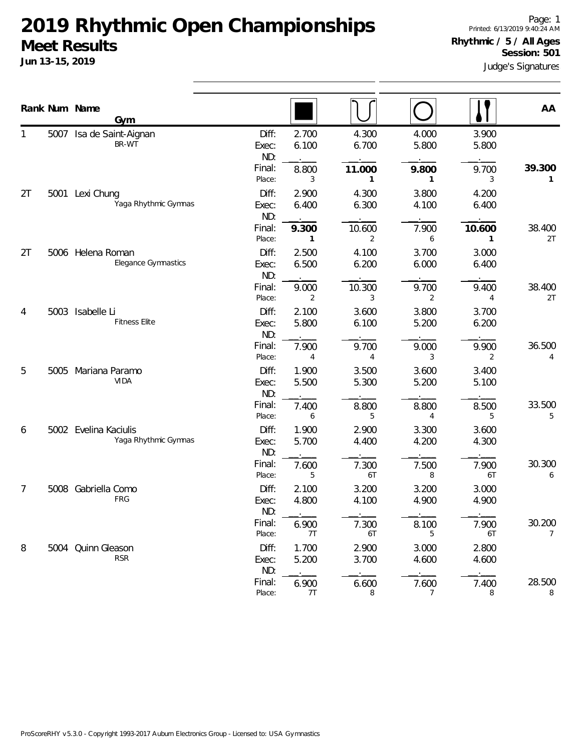|    |      | Rank Num Name<br>Gym                          |                       |                         |                |                |                | AA                       |
|----|------|-----------------------------------------------|-----------------------|-------------------------|----------------|----------------|----------------|--------------------------|
|    |      | 5007 Isa de Saint-Aignan<br>BR-WT             | Diff:<br>Exec:<br>ND: | 2.700<br>6.100          | 4.300<br>6.700 | 4.000<br>5.800 | 3.900<br>5.800 |                          |
|    |      |                                               | Final:<br>Place:      | 8.800<br>3              | 11.000<br>1    | 9.800<br>1     | 9.700<br>3     | 39.300<br>1              |
| 2T |      | 5001 Lexi Chung<br>Yaga Rhythmic Gymnas       | Diff:<br>Exec:<br>ND: | 2.900<br>6.400          | 4.300<br>6.300 | 3.800<br>4.100 | 4.200<br>6.400 |                          |
|    |      |                                               | Final:<br>Place:      | 9.300<br>1              | 10.600<br>2    | 7.900<br>6     | 10.600<br>1    | 38.400<br>2T             |
| 2T | 5006 | Helena Roman<br>Elegance Gymnastics           | Diff:<br>Exec:<br>ND: | 2.500<br>6.500          | 4.100<br>6.200 | 3.700<br>6.000 | 3.000<br>6.400 |                          |
|    |      |                                               | Final:<br>Place:      | 9.000<br>2              | 10.300<br>3    | 9.700<br>2     | 9.400<br>4     | 38.400<br>2T             |
| 4  |      | 5003 Isabelle Li<br><b>Fitness Elite</b>      | Diff:<br>Exec:<br>ND: | 2.100<br>5.800          | 3.600<br>6.100 | 3.800<br>5.200 | 3.700<br>6.200 |                          |
|    |      |                                               | Final:<br>Place:      | 7.900<br>$\overline{4}$ | 9.700<br>4     | 9.000<br>3     | 9.900<br>2     | 36.500<br>4              |
| 5  | 5005 | Mariana Paramo<br><b>VIDA</b>                 | Diff:<br>Exec:<br>ND: | 1.900<br>5.500          | 3.500<br>5.300 | 3.600<br>5.200 | 3.400<br>5.100 |                          |
|    |      |                                               | Final:<br>Place:      | 7.400<br>6              | 8.800<br>5     | 8.800<br>4     | 8.500<br>5     | 33.500<br>5              |
| 6  |      | 5002 Evelina Kaciulis<br>Yaga Rhythmic Gymnas | Diff:<br>Exec:<br>ND: | 1.900<br>5.700          | 2.900<br>4.400 | 3.300<br>4.200 | 3.600<br>4.300 |                          |
|    |      |                                               | Final:<br>Place:      | 7.600<br>5              | 7.300<br>6T    | 7.500<br>8     | 7.900<br>6T    | 30.300<br>6              |
| 7  | 5008 | Gabriella Como<br>FRG                         | Diff:<br>Exec:<br>ND: | 2.100<br>4.800          | 3.200<br>4.100 | 3.200<br>4.900 | 3.000<br>4.900 |                          |
|    |      |                                               | Final:<br>Place:      | 6.900<br>7T             | 7.300<br>6T    | 8.100<br>5     | 7.900<br>6T    | 30.200<br>$\overline{7}$ |
| 8  |      | 5004 Quinn Gleason<br><b>RSR</b>              | Diff:<br>Exec:<br>ND: | 1.700<br>5.200          | 2.900<br>3.700 | 3.000<br>4.600 | 2.800<br>4.600 |                          |
|    |      |                                               | Final:<br>Place:      | 6.900<br>7T             | 6.600<br>8     | 7.600<br>7     | 7.400<br>8     | 28.500<br>8              |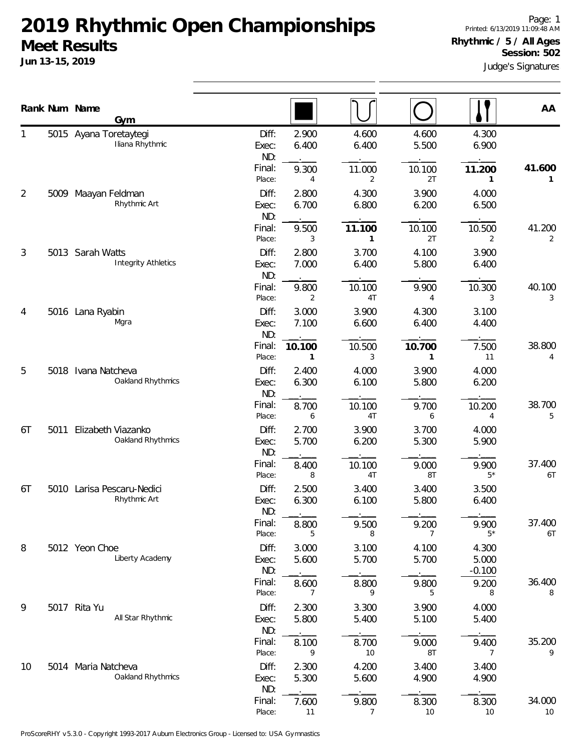**Jun 13-15, 2019**

Judge's Signatures Page: 1 Printed: 6/13/2019 11:09:48 AM **Rhythmic / 5 / All Ages Session: 502**

|    | Rank Num Name | Gym                                            |                       |                        |                         |                        |                            | AA           |
|----|---------------|------------------------------------------------|-----------------------|------------------------|-------------------------|------------------------|----------------------------|--------------|
|    |               | 5015 Ayana Toretaytegi<br>Iliana Rhythmic      | Diff:<br>Exec:<br>ND: | 2.900<br>6.400         | 4.600<br>6.400          | 4.600<br>5.500         | 4.300<br>6.900             |              |
|    |               |                                                | Final:<br>Place:      | 9.300<br>4             | 11.000<br>2             | 10.100<br>2T           | 11.200<br>1                | 41.600<br>1  |
| 2  |               | 5009 Maayan Feldman<br>Rhythmic Art            | Diff:<br>Exec:<br>ND: | 2.800<br>6.700         | 4.300<br>6.800          | 3.900<br>6.200         | 4.000<br>6.500             |              |
|    |               |                                                | Final:<br>Place:      | 9.500<br>3             | 11.100<br>1             | 10.100<br>2T           | 10.500<br>2                | 41.200<br>2  |
| 3  |               | 5013 Sarah Watts<br><b>Integrity Athletics</b> | Diff:<br>Exec:<br>ND: | 2.800<br>7.000         | 3.700<br>6.400          | 4.100<br>5.800         | 3.900<br>6.400             |              |
|    |               |                                                | Final:<br>Place:      | 9.800<br>2             | 10.100<br>4T            | 9.900<br>4             | 10.300<br>3                | 40.100<br>3  |
| 4  |               | 5016 Lana Ryabin<br>Mgra                       | Diff:<br>Exec:<br>ND: | 3.000<br>7.100         | 3.900<br>6.600          | 4.300<br>6.400         | 3.100<br>4.400             |              |
|    |               |                                                | Final:<br>Place:      | 10.100<br>$\mathbf{1}$ | 10.500<br>3             | 10.700<br>$\mathbf{1}$ | 7.500<br>11                | 38.800<br>4  |
| 5  |               | 5018 Ivana Natcheva<br>Oakland Rhythmics       | Diff:<br>Exec:<br>ND: | 2.400<br>6.300         | 4.000<br>6.100          | 3.900<br>5.800         | 4.000<br>6.200             |              |
|    |               |                                                | Final:<br>Place:      | 8.700<br>6             | 10.100<br>4T            | 9.700<br>6             | 10.200<br>4                | 38.700<br>5  |
| 6T | 5011          | Elizabeth Viazanko<br>Oakland Rhythmics        | Diff:<br>Exec:<br>ND: | 2.700<br>5.700         | 3.900<br>6.200          | 3.700<br>5.300         | 4.000<br>5.900             |              |
|    |               |                                                | Final:<br>Place:      | 8.400<br>8             | 10.100<br>4T            | 9.000<br>8T            | 9.900<br>$5*$              | 37.400<br>6T |
| 6T |               | 5010 Larisa Pescaru-Nedici<br>Rhythmic Art     | Diff:<br>Exec:<br>ND: | 2.500<br>6.300         | 3.400<br>6.100          | 3.400<br>5.800         | 3.500<br>6.400             |              |
|    |               |                                                | Final:<br>Place:      | 8.800<br>5             | 9.500<br>8              | 9.200<br>7             | 9.900<br>$5*$              | 37.400<br>6T |
| 8  |               | 5012 Yeon Choe<br>Liberty Academy              | Diff:<br>Exec:<br>ND: | 3.000<br>5.600         | 3.100<br>5.700          | 4.100<br>5.700         | 4.300<br>5.000<br>$-0.100$ |              |
|    |               |                                                | Final:<br>Place:      | 8.600<br>7             | 8.800<br>9              | 9.800<br>5             | 9.200<br>8                 | 36.400<br>8  |
| 9  |               | 5017 Rita Yu<br>All Star Rhythmic              | Diff:<br>Exec:<br>ND: | 2.300<br>5.800         | 3.300<br>5.400          | 3.900<br>5.100         | 4.000<br>5.400             |              |
|    |               |                                                | Final:<br>Place:      | 8.100<br>9             | 8.700<br>10             | 9.000<br>8T            | 9.400<br>7                 | 35.200<br>9  |
| 10 |               | 5014 Maria Natcheva<br>Oakland Rhythmics       | Diff:<br>Exec:<br>ND: | 2.300<br>5.300         | 4.200<br>5.600          | 3.400<br>4.900         | 3.400<br>4.900             |              |
|    |               |                                                | Final:<br>Place:      | 7.600<br>11            | 9.800<br>$\overline{7}$ | 8.300<br>10            | 8.300<br>10                | 34.000<br>10 |

ProScoreRHY v5.3.0 - Copyright 1993-2017 Auburn Electronics Group - Licensed to: USA Gymnastics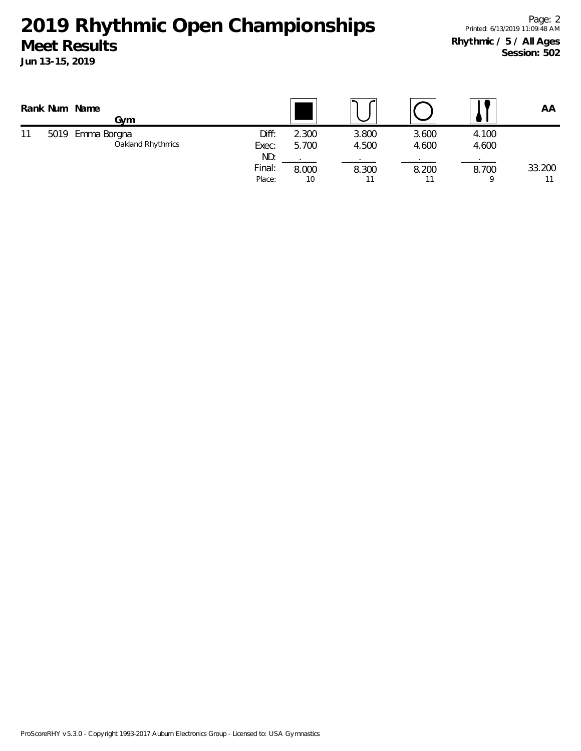|    |      | Rank Num Name<br>Gym             |                         |                |                |                |                | AA     |
|----|------|----------------------------------|-------------------------|----------------|----------------|----------------|----------------|--------|
| 11 | 5019 | Emma Borgna<br>Oakland Rhythmics | Diff:<br>Exec:          | 2.300<br>5.700 | 3.800<br>4.500 | 3.600<br>4.600 | 4.100<br>4.600 |        |
|    |      |                                  | ND:<br>Final:<br>Place: | 8.000<br>10    | 8.300<br>11    | 8.200          | 8.700          | 33.200 |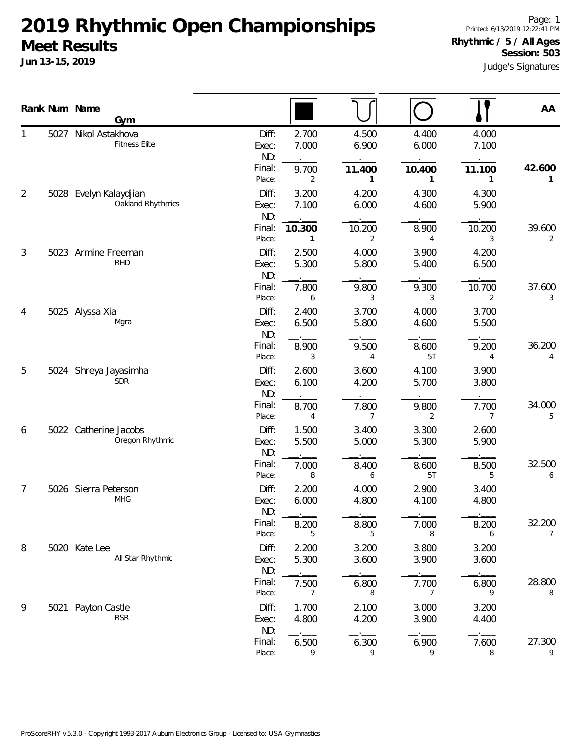|   |      | Rank Num Name<br><b>Gym</b>                 |                       |                        |                |                |                | AA                    |
|---|------|---------------------------------------------|-----------------------|------------------------|----------------|----------------|----------------|-----------------------|
|   | 5027 | Nikol Astakhova<br><b>Fitness Elite</b>     | Diff:<br>Exec:<br>ND: | 2.700<br>7.000         | 4.500<br>6.900 | 4.400<br>6.000 | 4.000<br>7.100 |                       |
|   |      |                                             | Final:<br>Place:      | 9.700<br>2             | 11.400<br>1    | 10.400<br>1    | 11.100<br>1    | 42.600<br>1           |
| 2 |      | 5028 Evelyn Kalaydjian<br>Oakland Rhythmics | Diff:<br>Exec:<br>ND: | 3.200<br>7.100         | 4.200<br>6.000 | 4.300<br>4.600 | 4.300<br>5.900 |                       |
|   |      |                                             | Final:<br>Place:      | 10.300<br>$\mathbf{1}$ | 10.200<br>2    | 8.900<br>4     | 10.200<br>3    | 39.600<br>2           |
| 3 | 5023 | Armine Freeman<br><b>RHD</b>                | Diff:<br>Exec:<br>ND: | 2.500<br>5.300         | 4.000<br>5.800 | 3.900<br>5.400 | 4.200<br>6.500 |                       |
|   |      |                                             | Final:<br>Place:      | 7.800<br>6             | 9.800<br>3     | 9.300<br>3     | 10.700<br>2    | 37.600<br>3           |
| 4 |      | 5025 Alyssa Xia<br>Mgra                     | Diff:<br>Exec:<br>ND: | 2.400<br>6.500         | 3.700<br>5.800 | 4.000<br>4.600 | 3.700<br>5.500 |                       |
|   |      |                                             | Final:<br>Place:      | 8.900<br>3             | 9.500<br>4     | 8.600<br>5T    | 9.200<br>4     | 36.200<br>4           |
| 5 | 5024 | Shreya Jayasimha<br><b>SDR</b>              | Diff:<br>Exec:<br>ND: | 2.600<br>6.100         | 3.600<br>4.200 | 4.100<br>5.700 | 3.900<br>3.800 |                       |
|   |      |                                             | Final:<br>Place:      | 8.700<br>4             | 7.800<br>7     | 9.800<br>2     | 7.700<br>7     | 34.000<br>5           |
| 6 |      | 5022 Catherine Jacobs<br>Oregon Rhythmic    | Diff:<br>Exec:<br>ND: | 1.500<br>5.500         | 3.400<br>5.000 | 3.300<br>5.300 | 2.600<br>5.900 |                       |
|   |      |                                             | Final:<br>Place:      | 7.000<br>8             | 8.400<br>6     | 8.600<br>5T    | 8.500<br>5     | 32.500<br>6           |
| 7 |      | 5026 Sierra Peterson<br><b>MHG</b>          | Diff:<br>Exec:<br>ND: | 2.200<br>6.000         | 4.000<br>4.800 | 2.900<br>4.100 | 3.400<br>4.800 |                       |
|   |      |                                             | Final:<br>Place:      | 8.200<br>5             | 8.800<br>5     | 7.000<br>8     | 8.200<br>6     | 32.200<br>$7^{\circ}$ |
| 8 |      | 5020 Kate Lee<br>All Star Rhythmic          | Diff:<br>Exec:<br>ND: | 2.200<br>5.300         | 3.200<br>3.600 | 3.800<br>3.900 | 3.200<br>3.600 |                       |
|   |      |                                             | Final:<br>Place:      | 7.500<br>7             | 6.800<br>8     | 7.700<br>7     | 6.800<br>9     | 28.800<br>8           |
| 9 | 5021 | Payton Castle<br><b>RSR</b>                 | Diff:<br>Exec:<br>ND: | 1.700<br>4.800         | 2.100<br>4.200 | 3.000<br>3.900 | 3.200<br>4.400 |                       |
|   |      |                                             | Final:<br>Place:      | 6.500<br>9             | 6.300<br>9     | 6.900<br>9     | 7.600<br>8     | 27.300<br>9           |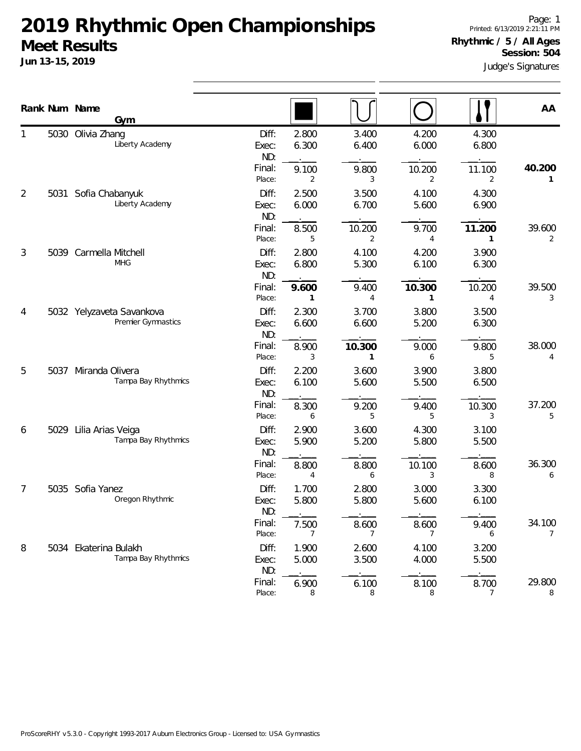|   |      | Rank Num Name<br>Gym                            |                       |                       |                |                |                | AA                       |
|---|------|-------------------------------------------------|-----------------------|-----------------------|----------------|----------------|----------------|--------------------------|
|   |      | 5030 Olivia Zhang<br>Liberty Academy            | Diff:<br>Exec:<br>ND: | 2.800<br>6.300        | 3.400<br>6.400 | 4.200<br>6.000 | 4.300<br>6.800 |                          |
|   |      |                                                 | Final:<br>Place:      | 9.100<br>2            | 9.800<br>3     | 10.200<br>2    | 11.100<br>2    | 40.200<br>1              |
| 2 | 5031 | Sofia Chabanyuk<br>Liberty Academy              | Diff:<br>Exec:<br>ND: | 2.500<br>6.000        | 3.500<br>6.700 | 4.100<br>5.600 | 4.300<br>6.900 |                          |
|   |      |                                                 | Final:<br>Place:      | 8.500<br>5            | 10.200<br>2    | 9.700<br>4     | 11.200<br>1    | 39.600<br>2              |
| 3 | 5039 | Carmella Mitchell<br><b>MHG</b>                 | Diff:<br>Exec:<br>ND: | 2.800<br>6.800        | 4.100<br>5.300 | 4.200<br>6.100 | 3.900<br>6.300 |                          |
|   |      |                                                 | Final:<br>Place:      | 9.600<br>$\mathbf{1}$ | 9.400<br>4     | 10.300<br>1    | 10.200<br>4    | 39.500<br>3              |
| 4 |      | 5032 Yelyzaveta Savankova<br>Premier Gymnastics | Diff:<br>Exec:<br>ND: | 2.300<br>6.600        | 3.700<br>6.600 | 3.800<br>5.200 | 3.500<br>6.300 |                          |
|   |      |                                                 | Final:<br>Place:      | 8.900<br>3            | 10.300<br>1    | 9.000<br>6     | 9.800<br>5     | 38.000<br>$\overline{4}$ |
| 5 |      | 5037 Miranda Olivera<br>Tampa Bay Rhythmics     | Diff:<br>Exec:<br>ND: | 2.200<br>6.100        | 3.600<br>5.600 | 3.900<br>5.500 | 3.800<br>6.500 |                          |
|   |      |                                                 | Final:<br>Place:      | 8.300<br>6            | 9.200<br>5     | 9.400<br>5     | 10.300<br>3    | 37.200<br>5              |
| 6 | 5029 | Lilia Arias Veiga<br>Tampa Bay Rhythmics        | Diff:<br>Exec:<br>ND: | 2.900<br>5.900        | 3.600<br>5.200 | 4.300<br>5.800 | 3.100<br>5.500 |                          |
|   |      |                                                 | Final:<br>Place:      | 8.800<br>4            | 8.800<br>6     | 10.100<br>3    | 8.600<br>8     | 36.300<br>6              |
| 7 |      | 5035 Sofia Yanez<br>Oregon Rhythmic             | Diff:<br>Exec:<br>ND: | 1.700<br>5.800        | 2.800<br>5.800 | 3.000<br>5.600 | 3.300<br>6.100 |                          |
|   |      |                                                 | Final:<br>Place:      | 7.500<br>7            | 8.600<br>7     | 8.600<br>7     | 9.400<br>6     | 34.100<br>$\overline{7}$ |
| 8 |      | 5034 Ekaterina Bulakh<br>Tampa Bay Rhythmics    | Diff:<br>Exec:<br>ND: | 1.900<br>5.000        | 2.600<br>3.500 | 4.100<br>4.000 | 3.200<br>5.500 |                          |
|   |      |                                                 | Final:<br>Place:      | 6.900<br>8            | 6.100<br>8     | 8.100<br>8     | 8.700<br>7     | 29.800<br>8              |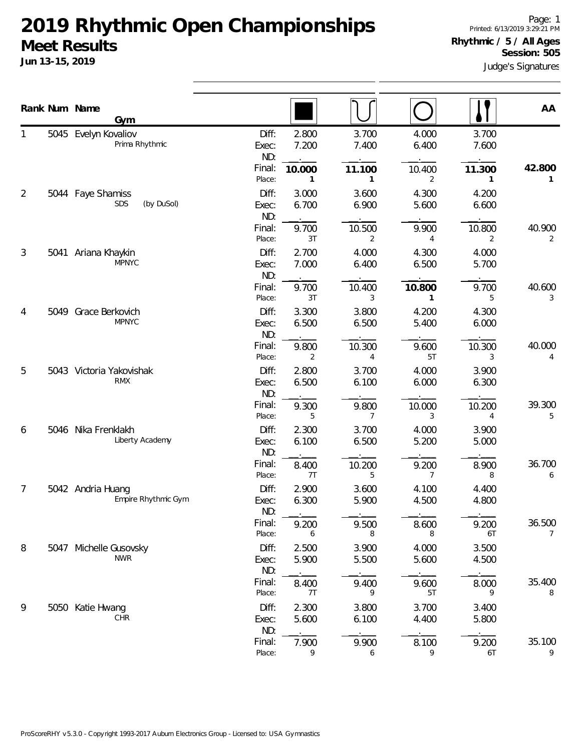**Jun 13-15, 2019**

Page: 1 Printed: 6/13/2019 3:29:21 PM **Rhythmic / 5 / All Ages Session: 505**

Judge's Signatures

|   |      | Rank Num Name<br>Gym                     |                       |                        |                        |                |                | AA                       |
|---|------|------------------------------------------|-----------------------|------------------------|------------------------|----------------|----------------|--------------------------|
|   |      | 5045 Evelyn Kovaliov<br>Prima Rhythmic   | Diff:<br>Exec:<br>ND: | 2.800<br>7.200         | 3.700<br>7.400         | 4.000<br>6.400 | 3.700<br>7.600 |                          |
|   |      |                                          | Final:<br>Place:      | 10.000<br>$\mathbf{1}$ | 11.100<br>$\mathbf{1}$ | 10.400<br>2    | 11.300<br>1    | 42.800<br>1              |
| 2 |      | 5044 Faye Shamiss<br>SDS<br>(by DuSol)   | Diff:<br>Exec:<br>ND: | 3.000<br>6.700         | 3.600<br>6.900         | 4.300<br>5.600 | 4.200<br>6.600 |                          |
|   |      |                                          | Final:<br>Place:      | 9.700<br>3T            | 10.500<br>2            | 9.900<br>4     | 10.800<br>2    | 40.900<br>2              |
| 3 | 5041 | Ariana Khaykin<br><b>MPNYC</b>           | Diff:<br>Exec:<br>ND: | 2.700<br>7.000         | 4.000<br>6.400         | 4.300<br>6.500 | 4.000<br>5.700 |                          |
|   |      |                                          | Final:<br>Place:      | 9.700<br>3T            | 10.400<br>3            | 10.800<br>1    | 9.700<br>5     | 40.600<br>3              |
| 4 |      | 5049 Grace Berkovich<br><b>MPNYC</b>     | Diff:<br>Exec:<br>ND: | 3.300<br>6.500         | 3.800<br>6.500         | 4.200<br>5.400 | 4.300<br>6.000 |                          |
|   |      |                                          | Final:<br>Place:      | 9.800<br>2             | 10.300<br>4            | 9.600<br>5T    | 10.300<br>3    | 40.000<br>4              |
| 5 |      | 5043 Victoria Yakovishak<br><b>RMX</b>   | Diff:<br>Exec:<br>ND: | 2.800<br>6.500         | 3.700<br>6.100         | 4.000<br>6.000 | 3.900<br>6.300 |                          |
|   |      |                                          | Final:<br>Place:      | 9.300<br>5             | 9.800<br>7             | 10.000<br>3    | 10.200<br>4    | 39.300<br>5              |
| 6 |      | 5046 Nika Frenklakh<br>Liberty Academy   | Diff:<br>Exec:<br>ND: | 2.300<br>6.100         | 3.700<br>6.500         | 4.000<br>5.200 | 3.900<br>5.000 |                          |
|   |      |                                          | Final:<br>Place:      | 8.400<br>7T            | 10.200<br>5            | 9.200<br>7     | 8.900<br>8     | 36.700<br>6              |
| 7 |      | 5042 Andria Huang<br>Empire Rhythmic Gym | Diff:<br>Exec:<br>ND: | 2.900<br>6.300         | 3.600<br>5.900         | 4.100<br>4.500 | 4.400<br>4.800 |                          |
|   |      |                                          | Final:<br>Place:      | 9.200<br>6             | 9.500<br>8             | 8.600<br>8     | 9.200<br>6T    | 36.500<br>$\overline{7}$ |
| 8 |      | 5047 Michelle Gusovsky<br><b>NWR</b>     | Diff:<br>Exec:<br>ND: | 2.500<br>5.900         | 3.900<br>5.500         | 4.000<br>5.600 | 3.500<br>4.500 |                          |
|   |      |                                          | Final:<br>Place:      | 8.400<br>7T            | 9.400<br>9             | 9.600<br>5T    | 8.000<br>9     | 35.400<br>8              |
| 9 |      | 5050 Katie Hwang<br><b>CHR</b>           | Diff:<br>Exec:<br>ND: | 2.300<br>5.600         | 3.800<br>6.100         | 3.700<br>4.400 | 3.400<br>5.800 |                          |
|   |      |                                          | Final:<br>Place:      | 7.900<br>9             | 9.900<br>6             | 8.100<br>9     | 9.200<br>6T    | 35.100<br>9              |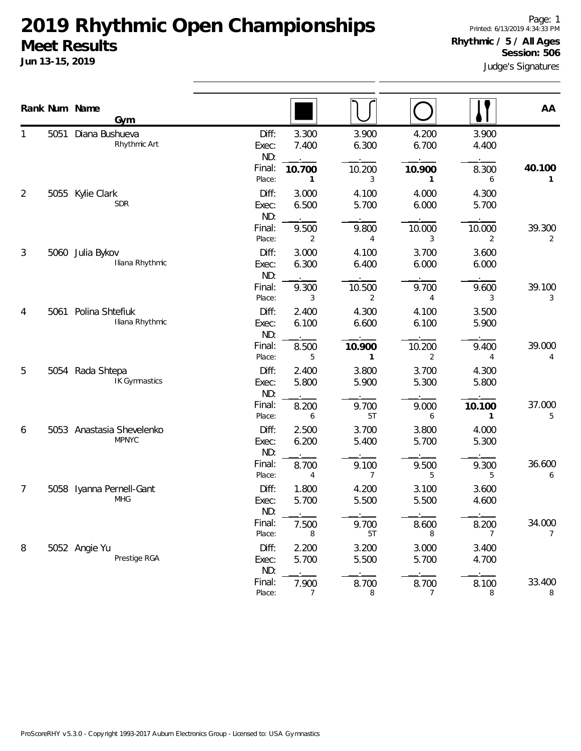**Jun 13-15, 2019**

Judge's Signatures Page: 1 Printed: 6/13/2019 4:34:33 PM **Rhythmic / 5 / All Ages Session: 506**

|                |      | Rank Num Name<br>Gym                      |                                           |                               |                                           |                               |                               | AA                       |
|----------------|------|-------------------------------------------|-------------------------------------------|-------------------------------|-------------------------------------------|-------------------------------|-------------------------------|--------------------------|
| 1              | 5051 | Diana Bushueva<br>Rhythmic Art            | Diff:<br>Exec:<br>ND:<br>Final:<br>Place: | 3.300<br>7.400<br>10.700<br>1 | 3.900<br>6.300<br>10.200<br>3             | 4.200<br>6.700<br>10.900<br>1 | 3.900<br>4.400<br>8.300<br>6  | 40.100<br>1              |
| $\overline{2}$ | 5055 | Kylie Clark<br><b>SDR</b>                 | Diff:<br>Exec:<br>ND:<br>Final:           | 3.000<br>6.500<br>9.500       | 4.100<br>5.700<br>9.800                   | 4.000<br>6.000<br>10.000      | 4.300<br>5.700<br>10.000      | 39.300                   |
| 3              |      | 5060 Julia Bykov<br>Iliana Rhythmic       | Place:<br>Diff:<br>Exec:<br>ND:<br>Final: | 2<br>3.000<br>6.300           | 4<br>4.100<br>6.400                       | 3<br>3.700<br>6.000           | 2<br>3.600<br>6.000           | 2                        |
| 4              | 5061 | Polina Shtefiuk<br>Iliana Rhythmic        | Place:<br>Diff:<br>Exec:<br>ND:           | 9.300<br>3<br>2.400<br>6.100  | 10.500<br>2<br>4.300<br>6.600             | 9.700<br>4<br>4.100<br>6.100  | 9.600<br>3<br>3.500<br>5.900  | 39.100<br>3              |
| 5              |      | 5054 Rada Shtepa<br>IK Gymnastics         | Final:<br>Place:<br>Diff:<br>Exec:<br>ND: | 8.500<br>5<br>2.400<br>5.800  | 10.900<br>$\mathbf{1}$<br>3.800<br>5.900  | 10.200<br>2<br>3.700<br>5.300 | 9.400<br>4<br>4.300<br>5.800  | 39.000<br>4              |
| 6              |      | 5053 Anastasia Shevelenko<br><b>MPNYC</b> | Final:<br>Place:<br>Diff:<br>Exec:<br>ND: | 8.200<br>6<br>2.500<br>6.200  | 9.700<br>5T<br>3.700<br>5.400             | 9.000<br>6<br>3.800<br>5.700  | 10.100<br>1<br>4.000<br>5.300 | 37.000<br>5              |
| 7              |      | 5058 Iyanna Pernell-Gant<br><b>MHG</b>    | Final:<br>Place:<br>Diff:<br>Exec:        | 8.700<br>4<br>1.800<br>5.700  | 9.100<br>$\overline{7}$<br>4.200<br>5.500 | 9.500<br>5<br>3.100<br>5.500  | 9.300<br>5<br>3.600<br>4.600  | 36.600<br>6              |
| 8              |      | 5052 Angie Yu                             | ND:<br>Final:<br>Place:<br>Diff:          | 7.500<br>8<br>2.200           | 9.700<br>5T<br>3.200                      | 8.600<br>8<br>3.000           | 8.200<br>3.400                | 34.000<br>$\overline{7}$ |
|                |      | Prestige RGA                              | Exec:<br>ND:<br>Final:<br>Place:          | 5.700<br>7.900<br>7           | 5.500<br>8.700<br>8                       | 5.700<br>8.700<br>7           | 4.700<br>8.100<br>8           | 33.400<br>8              |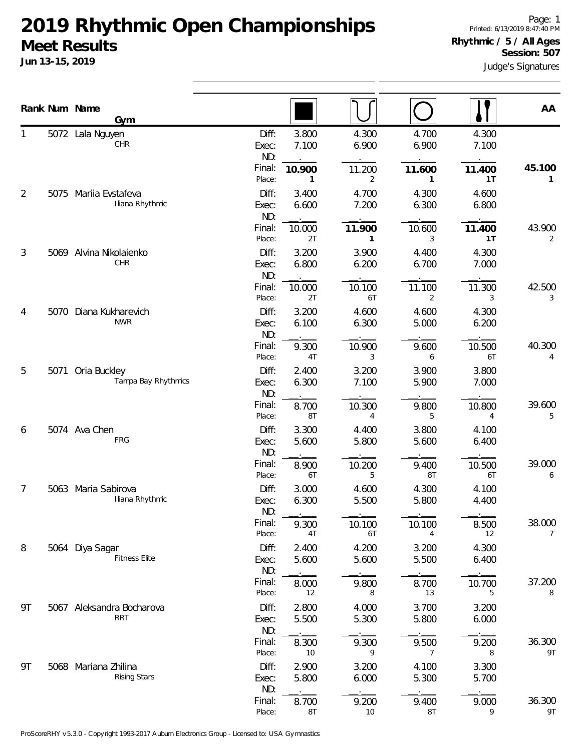|    | Rank Num Name | Gym                                         |                                 |                          |                          |                                |                          | AA                       |
|----|---------------|---------------------------------------------|---------------------------------|--------------------------|--------------------------|--------------------------------|--------------------------|--------------------------|
|    |               | 5072 Lala Nguyen<br>CHR                     | Diff:<br>Exec:<br>ND:<br>Final: | 3.800<br>7.100<br>10.900 | 4.300<br>6.900<br>11.200 | 4.700<br>6.900<br>11.600       | 4.300<br>7.100<br>11.400 | 45.100                   |
| 2  | 5075          | Mariia Evstafeva<br>Iliana Rhythmic         | Place:<br>Diff:<br>Exec:<br>ND: | 1<br>3.400<br>6.600      | 2<br>4.700<br>7.200      | $\mathbf{1}$<br>4.300<br>6.300 | 1T<br>4.600<br>6.800     | 1                        |
|    |               |                                             | Final:<br>Place:                | 10.000<br>2T             | 11.900<br>1              | 10.600<br>3                    | 11.400<br>1T             | 43.900<br>2              |
| 3  |               | 5069 Alvina Nikolaienko<br>CHR              | Diff:<br>Exec:<br>ND:           | 3.200<br>6.800           | 3.900<br>6.200           | 4.400<br>6.700                 | 4.300<br>7.000           |                          |
|    |               |                                             | Final:<br>Place:                | 10.000<br>2T             | 10.100<br>6T             | 11.100<br>2                    | 11.300<br>3              | 42.500<br>3              |
| 4  | 5070          | Diana Kukharevich<br><b>NWR</b>             | Diff:<br>Exec:<br>ND:           | 3.200<br>6.100           | 4.600<br>6.300           | 4.600<br>5.000                 | 4.300<br>6.200           |                          |
| 5  |               | Oria Buckley                                | Final:<br>Place:<br>Diff:       | 9.300<br>4T<br>2.400     | 10.900<br>3<br>3.200     | 9.600<br>6<br>3.900            | 10.500<br>6T<br>3.800    | 40.300<br>4              |
|    | 5071          | Tampa Bay Rhythmics                         | Exec:<br>ND:                    | 6.300                    | 7.100                    | 5.900                          | 7.000                    |                          |
|    |               |                                             | Final:<br>Place:                | 8.700<br>8T              | 10.300<br>4              | 9.800<br>5                     | 10.800<br>4              | 39.600<br>5              |
| 6  |               | 5074 Ava Chen<br>FRG                        | Diff:<br>Exec:<br>ND:           | 3.300<br>5.600           | 4.400<br>5.800           | 3.800<br>5.600                 | 4.100<br>6.400           |                          |
|    |               |                                             | Final:<br>Place:                | 8.900<br>6T              | 10.200<br>5              | 9.400<br>8T                    | 10.500<br>6T             | 39.000<br>6              |
| 7  | 5063          | Maria Sabirova<br>Iliana Rhythmic           | Diff:<br>Exec:<br>ND:           | 3.000<br>6.300           | 4.600<br>5.500           | 4.300<br>5.800                 | 4.100<br>4.400           |                          |
|    |               |                                             | Final:<br>Place:                | 9.300<br>4T              | 10.100<br>6T             | 10.100<br>4                    | 8.500<br>12              | 38.000<br>$\overline{7}$ |
| 8  |               | 5064 Diya Sagar<br><b>Fitness Elite</b>     | Diff:<br>Exec:<br>ND:           | 2.400<br>5.600           | 4.200<br>5.600           | 3.200<br>5.500                 | 4.300<br>6.400           |                          |
|    |               |                                             | Final:<br>Place:                | 8.000<br>12              | 9.800<br>8               | 8.700<br>13                    | 10.700<br>5              | 37.200<br>8              |
| 9T |               | 5067 Aleksandra Bocharova<br><b>RRT</b>     | Diff:<br>Exec:<br>ND:           | 2.800<br>5.500           | 4.000<br>5.300           | 3.700<br>5.800                 | 3.200<br>6.000           |                          |
|    |               |                                             | Final:<br>Place:                | 8.300<br>10              | 9.300<br>9               | 9.500<br>7                     | 9.200<br>8               | 36.300<br>9T             |
| 9T |               | 5068 Mariana Zhilina<br><b>Rising Stars</b> | Diff:<br>Exec:<br>ND:           | 2.900<br>5.800           | 3.200<br>6.000           | 4.100<br>5.300                 | 3.300<br>5.700           |                          |
|    |               |                                             | Final:<br>Place:                | 8.700<br>8T              | 9.200<br>10              | 9.400<br>$8\mathsf{T}$         | 9.000<br>9               | 36.300<br>9T             |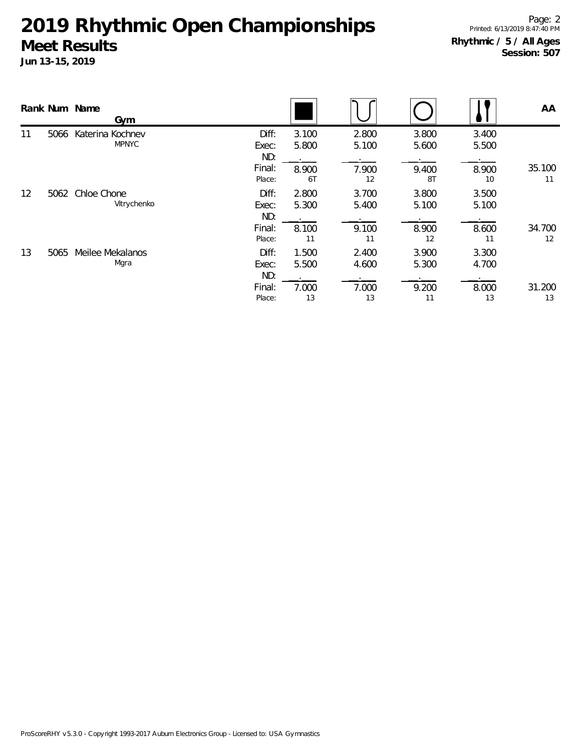|    |      | Rank Num Name<br>Gym                              |                         |                |                |                |                | AA           |
|----|------|---------------------------------------------------|-------------------------|----------------|----------------|----------------|----------------|--------------|
| 11 | 5066 | Katerina Kochnev<br><b>MPNYC</b>                  | Diff:<br>Exec:          | 3.100<br>5.800 | 2.800<br>5.100 | 3.800<br>5.600 | 3.400<br>5.500 |              |
|    |      |                                                   | ND:<br>Final:<br>Place: | 8.900<br>6T    | 7.900<br>12    | 9.400<br>8T    | 8.900<br>10    | 35.100<br>11 |
| 12 | 5062 | Chloe Chone<br>Vitrychenko                        | Diff:<br>Exec:<br>ND:   | 2.800<br>5.300 | 3.700<br>5.400 | 3.800<br>5.100 | 3.500<br>5.100 |              |
|    |      | Final:<br>Place:                                  | 8.100<br>11             | 9.100<br>11    | 8.900<br>12    | 8.600<br>11    | 34.700<br>12   |              |
| 13 | 5065 | Meilee Mekalanos<br>Diff:<br>Mgra<br>Exec:<br>ND: | 1.500<br>5.500          | 2.400<br>4.600 | 3.900<br>5.300 | 3.300<br>4.700 |                |              |
|    |      |                                                   | Final:<br>Place:        | 7.000<br>13    | 7.000<br>13    | 9.200<br>11    | 8.000<br>13    | 31.200<br>13 |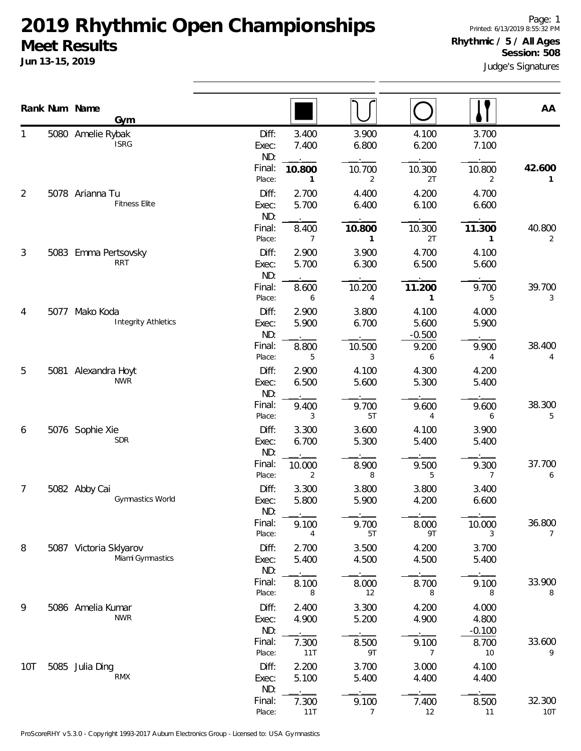**Jun 13-15, 2019**

Page: 1 Printed: 6/13/2019 8:55:32 PM

#### **Rhythmic / 5 / All Ages Session: 508**

Judge's Signatures

|                | Rank Num Name<br>Gym                         |                       |                |                        |                            |                            | AA                       |
|----------------|----------------------------------------------|-----------------------|----------------|------------------------|----------------------------|----------------------------|--------------------------|
|                | 5080 Amelie Rybak<br><b>ISRG</b>             | Diff:<br>Exec:<br>ND: | 3.400<br>7.400 | 3.900<br>6.800         | 4.100<br>6.200             | 3.700<br>7.100             |                          |
|                |                                              | Final:<br>Place:      | 10.800<br>1    | 10.700<br>2            | 10.300<br>2T               | 10.800<br>2                | 42.600<br>1              |
| $\overline{2}$ | 5078 Arianna Tu<br><b>Fitness Elite</b>      | Diff:<br>Exec:<br>ND: | 2.700<br>5.700 | 4.400<br>6.400         | 4.200<br>6.100             | 4.700<br>6.600             |                          |
|                |                                              | Final:<br>Place:      | 8.400<br>7     | 10.800<br>$\mathbf{1}$ | 10.300<br>2T               | 11.300<br>$\mathbf{1}$     | 40.800<br>2              |
| 3              | 5083 Emma Pertsovsky<br><b>RRT</b>           | Diff:<br>Exec:<br>ND: | 2.900<br>5.700 | 3.900<br>6.300         | 4.700<br>6.500             | 4.100<br>5.600             |                          |
|                |                                              | Final:<br>Place:      | 8.600<br>6     | 10.200<br>4            | 11.200<br>$\mathbf{1}$     | 9.700<br>5                 | 39.700<br>3              |
| 4              | 5077 Mako Koda<br><b>Integrity Athletics</b> | Diff:<br>Exec:<br>ND: | 2.900<br>5.900 | 3.800<br>6.700         | 4.100<br>5.600<br>$-0.500$ | 4.000<br>5.900             |                          |
|                |                                              | Final:<br>Place:      | 8.800<br>5     | 10.500<br>3            | 9.200<br>6                 | 9.900<br>4                 | 38.400<br>4              |
| 5              | 5081 Alexandra Hoyt<br><b>NWR</b>            | Diff:<br>Exec:<br>ND: | 2.900<br>6.500 | 4.100<br>5.600         | 4.300<br>5.300             | 4.200<br>5.400             |                          |
|                |                                              | Final:<br>Place:      | 9.400<br>3     | 9.700<br>5T            | 9.600<br>4                 | 9.600<br>6                 | 38.300<br>5              |
| 6              | 5076 Sophie Xie<br><b>SDR</b>                | Diff:<br>Exec:<br>ND: | 3.300<br>6.700 | 3.600<br>5.300         | 4.100<br>5.400             | 3.900<br>5.400             |                          |
|                |                                              | Final:<br>Place:      | 10.000<br>2    | 8.900<br>8             | 9.500<br>5                 | 9.300<br>7                 | 37.700<br>6              |
| 7              | 5082 Abby Cai<br><b>Gymnastics World</b>     | Diff:<br>Exec:<br>ND: | 3.300<br>5.800 | 3.800<br>5.900         | 3.800<br>4.200             | 3.400<br>6.600             |                          |
|                |                                              | Final:<br>Place:      | 9.100<br>4     | 9.700<br>5T            | 8.000<br>9T                | 10.000<br>3                | 36.800<br>$\overline{7}$ |
| 8              | 5087 Victoria Sklyarov<br>Miami Gymnastics   | Diff:<br>Exec:<br>ND: | 2.700<br>5.400 | 3.500<br>4.500         | 4.200<br>4.500             | 3.700<br>5.400             |                          |
|                |                                              | Final:<br>Place:      | 8.100<br>8     | 8.000<br>12            | 8.700<br>8                 | 9.100<br>8                 | 33.900<br>8              |
| 9              | 5086 Amelia Kumar<br><b>NWR</b>              | Diff:<br>Exec:<br>ND: | 2.400<br>4.900 | 3.300<br>5.200         | 4.200<br>4.900             | 4.000<br>4.800<br>$-0.100$ |                          |
|                |                                              | Final:<br>Place:      | 7.300<br>11T   | 8.500<br>9T            | 9.100<br>7                 | 8.700<br>10                | 33.600<br>9              |
| 10T            | 5085 Julia Ding<br>RMX                       | Diff:<br>Exec:<br>ND: | 2.200<br>5.100 | 3.700<br>5.400         | 3.000<br>4.400             | 4.100<br>4.400             |                          |
|                |                                              | Final:<br>Place:      | 7.300<br>11T   | 9.100<br>7             | 7.400<br>12                | 8.500<br>11                | 32.300<br>10T            |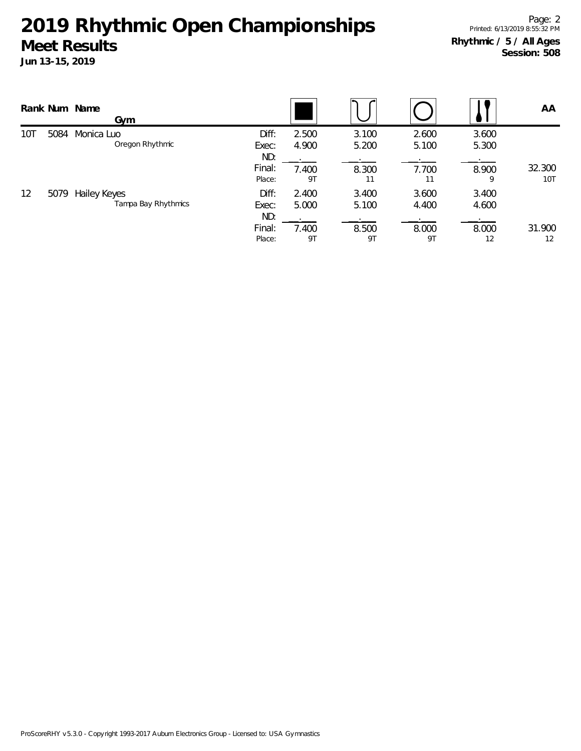|             |                               | Rank Num Name<br>Gym                |                         |                |                |                |                | AA                   |
|-------------|-------------------------------|-------------------------------------|-------------------------|----------------|----------------|----------------|----------------|----------------------|
| 10T<br>5084 | Monica Luo<br>Oregon Rhythmic | Diff:<br>Exec:                      | 2.500<br>4.900          | 3.100<br>5.200 | 2.600<br>5.100 | 3.600<br>5.300 |                |                      |
|             |                               |                                     | ND:<br>Final:<br>Place: | 7.400<br>9T    | 8.300<br>11    | 7.700<br>11    | 8.900<br>9     | 32.300<br><b>10T</b> |
| 12          | 5079                          | Hailey Keyes<br>Tampa Bay Rhythmics | Diff:<br>Exec:<br>ND:   | 2.400<br>5.000 | 3.400<br>5.100 | 3.600<br>4.400 | 3.400<br>4.600 |                      |
|             |                               |                                     | Final:<br>Place:        | 7.400<br>9T    | 8.500<br>9T    | 8.000<br>9T    | 8.000<br>12    | 31.900<br>12         |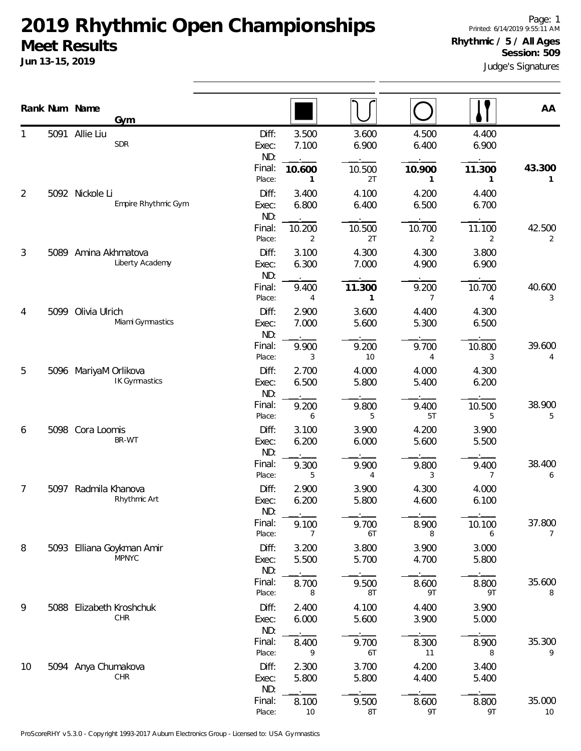|    | Rank Num Name | Gym                                           |                       |                |                        |                |                | AA                       |
|----|---------------|-----------------------------------------------|-----------------------|----------------|------------------------|----------------|----------------|--------------------------|
|    |               | 5091 Allie Liu<br><b>SDR</b>                  | Diff:<br>Exec:<br>ND: | 3.500<br>7.100 | 3.600<br>6.900         | 4.500<br>6.400 | 4.400<br>6.900 |                          |
|    |               |                                               | Final:<br>Place:      | 10.600<br>1    | 10.500<br>2T           | 10.900<br>1    | 11.300<br>1    | 43.300<br>1              |
| 2  |               | 5092 Nickole Li<br>Empire Rhythmic Gym        | Diff:<br>Exec:<br>ND: | 3.400<br>6.800 | 4.100<br>6.400         | 4.200<br>6.500 | 4.400<br>6.700 |                          |
|    |               |                                               | Final:<br>Place:      | 10.200<br>2    | 10.500<br>2T           | 10.700<br>2    | 11.100<br>2    | 42.500<br>2              |
| 3  | 5089          | Amina Akhmatova<br>Liberty Academy            | Diff:<br>Exec:<br>ND: | 3.100<br>6.300 | 4.300<br>7.000         | 4.300<br>4.900 | 3.800<br>6.900 |                          |
|    |               |                                               | Final:<br>Place:      | 9.400<br>4     | 11.300<br>1            | 9.200<br>7     | 10.700<br>4    | 40.600<br>3              |
| 4  | 5099          | Olivia Ulrich<br>Miami Gymnastics             | Diff:<br>Exec:<br>ND: | 2.900<br>7.000 | 3.600<br>5.600         | 4.400<br>5.300 | 4.300<br>6.500 |                          |
|    |               |                                               | Final:<br>Place:      | 9.900<br>3     | 9.200<br>10            | 9.700<br>4     | 10.800<br>3    | 39.600<br>4              |
|    | 5             | 5096 MariyaM Orlikova<br><b>IK Gymnastics</b> | Diff:<br>Exec:<br>ND: | 2.700<br>6.500 | 4.000<br>5.800         | 4.000<br>5.400 | 4.300<br>6.200 |                          |
|    |               |                                               | Final:<br>Place:      | 9.200<br>6     | 9.800<br>5             | 9.400<br>5T    | 10.500<br>5    | 38.900<br>5              |
| 6  |               | 5098 Cora Loomis<br>BR-WT                     | Diff:<br>Exec:<br>ND: | 3.100<br>6.200 | 3.900<br>6.000         | 4.200<br>5.600 | 3.900<br>5.500 |                          |
|    |               |                                               | Final:<br>Place:      | 9.300<br>5     | 9.900<br>4             | 9.800<br>3     | 9.400<br>7     | 38.400<br>6              |
| 7  | 5097          | Radmila Khanova<br>Rhythmic Art               | Diff:<br>Exec:<br>ND: | 2.900<br>6.200 | 3.900<br>5.800         | 4.300<br>4.600 | 4.000<br>6.100 |                          |
|    |               |                                               | Final:<br>Place:      | 9.100<br>7     | 9.700<br>6T            | 8.900<br>8     | 10.100<br>6    | 37.800<br>$\overline{7}$ |
| 8  |               | 5093 Elliana Goykman Amir<br><b>MPNYC</b>     | Diff:<br>Exec:<br>ND: | 3.200<br>5.500 | 3.800<br>5.700         | 3.900<br>4.700 | 3.000<br>5.800 |                          |
|    |               |                                               | Final:<br>Place:      | 8.700<br>8     | 9.500<br>8T            | 8.600<br>9T    | 8.800<br>9T    | 35.600<br>8              |
| 9  | 5088          | Elizabeth Kroshchuk<br>${\sf CHR}$            | Diff:<br>Exec:<br>ND: | 2.400<br>6.000 | 4.100<br>5.600         | 4.400<br>3.900 | 3.900<br>5.000 |                          |
|    |               |                                               | Final:<br>Place:      | 8.400<br>9     | 9.700<br>6T            | 8.300<br>11    | 8.900<br>8     | 35.300<br>9              |
| 10 |               | 5094 Anya Chumakova<br>CHR                    | Diff:<br>Exec:<br>ND: | 2.300<br>5.800 | 3.700<br>5.800         | 4.200<br>4.400 | 3.400<br>5.400 |                          |
|    |               |                                               | Final:<br>Place:      | 8.100<br>$10$  | 9.500<br>$8\mathsf{T}$ | 8.600<br>9T    | 8.800<br>9T    | 35.000<br>10             |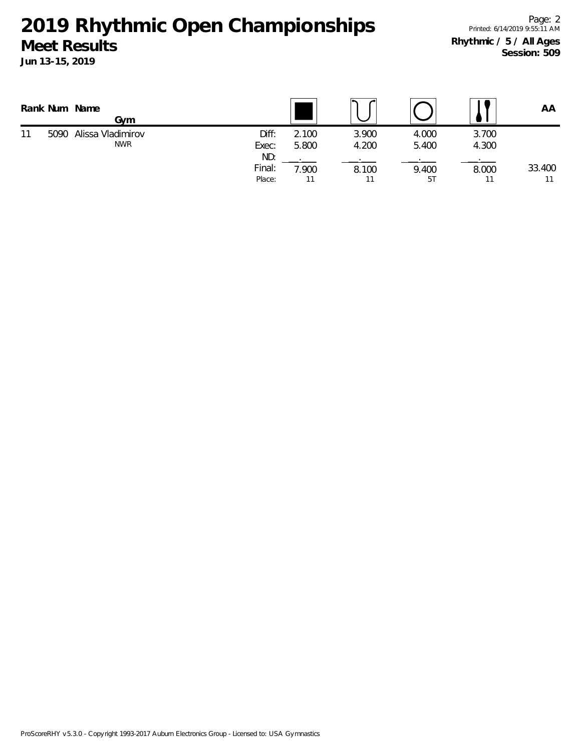|    | Rank Num Name | Gvm                                  |                         |                |                |                |                | ΑA     |
|----|---------------|--------------------------------------|-------------------------|----------------|----------------|----------------|----------------|--------|
| 11 |               | 5090 Alissa Vladimirov<br><b>NWR</b> | Diff:<br>Exec:          | 2.100<br>5.800 | 3.900<br>4.200 | 4.000<br>5.400 | 3.700<br>4.300 |        |
|    |               |                                      | ND:<br>Final:<br>Place: | 7.900          | 8.100<br>11    | 9.400<br>5T    | 8.000          | 33.400 |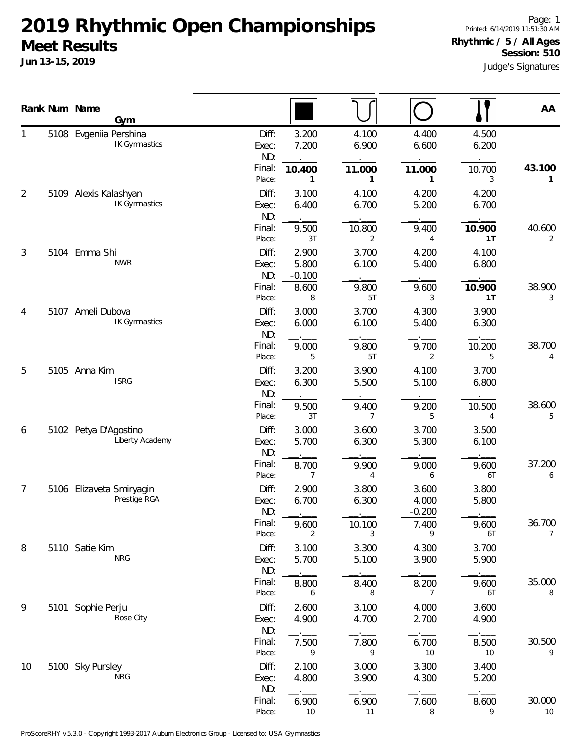1

2

Page: 1 Printed: 6/14/2019 11:51:30 AM **Rhythmic / 5 / All Ages Session: 510**

| Jun 13-15, 2019 |                                                | Judge's Signatures                        |                                          |                                            |                                           |                                |             |  |  |  |
|-----------------|------------------------------------------------|-------------------------------------------|------------------------------------------|--------------------------------------------|-------------------------------------------|--------------------------------|-------------|--|--|--|
| Rank Num Name   | Gym                                            |                                           |                                          |                                            |                                           |                                | AA          |  |  |  |
|                 | 5108 Evgeniia Pershina<br><b>IK Gymnastics</b> | Diff:<br>Exec:<br>ND:<br>Final:<br>Place: | 3.200<br>7.200<br>10.400                 | 4.100<br>6.900<br>11.000                   | 4.400<br>6.600<br>11.000                  | 4.500<br>6.200<br>10.700<br>3  | 43.100      |  |  |  |
| 2<br>5109       | Alexis Kalashyan<br>IK Gymnastics              | Diff:<br>Exec:<br>ND:<br>Final:<br>Place: | 3.100<br>6.400<br>9.500<br>3T            | 4.100<br>6.700<br>10.800<br>$\overline{2}$ | 4.200<br>5.200<br>9.400<br>4              | 4.200<br>6.700<br>10.900<br>1T | 40.600<br>2 |  |  |  |
| 3<br>5104       | Emma Shi<br><b>NWR</b>                         | Diff:<br>Exec:<br>ND:<br>Final:<br>Place: | 2.900<br>5.800<br>$-0.100$<br>8.600<br>8 | 3.700<br>6.100<br>9.800<br>5T              | 4.200<br>5.400<br>9.600<br>3              | 4.100<br>6.800<br>10.900<br>1T | 38.900<br>3 |  |  |  |
| 4<br>5107       | Ameli Dubova<br>IK Gymnastics                  | Diff:<br>Exec:<br>ND:<br>Final:<br>Place: | 3.000<br>6.000<br>9.000<br>5             | 3.700<br>6.100<br>9.800<br>5T              | 4.300<br>5.400<br>9.700<br>$\overline{2}$ | 3.900<br>6.300<br>10.200<br>5  | 38.700<br>4 |  |  |  |
| 5               | 5105 Anna Kim<br><b>ISRG</b>                   | Diff:<br>Exec:<br>NIN.                    | 3.200<br>6.300                           | 3.900<br>5.500                             | 4.100<br>5.100                            | 3.700<br>6.800                 |             |  |  |  |

|    |      |                                          | гінан.<br>Place:      | <b>A</b> .OU<br>3T         | <b>IU.OUU</b><br>2      | 9.4UU<br>4                 | <b>10.900</b><br>1T | 40.000<br>2  |
|----|------|------------------------------------------|-----------------------|----------------------------|-------------------------|----------------------------|---------------------|--------------|
| 3  |      | 5104 Emma Shi<br><b>NWR</b>              | Diff:<br>Exec:<br>ND: | 2.900<br>5.800<br>$-0.100$ | 3.700<br>6.100          | 4.200<br>5.400             | 4.100<br>6.800      |              |
|    |      |                                          | Final:<br>Place:      | 8.600<br>8                 | 9.800<br>5T             | 9.600<br>3                 | 10.900<br>1T        | 38.900<br>3  |
| 4  |      | 5107 Ameli Dubova<br>IK Gymnastics       | Diff:<br>Exec:<br>ND: | 3.000<br>6.000             | 3.700<br>6.100          | 4.300<br>5.400             | 3.900<br>6.300      |              |
|    |      |                                          | Final:<br>Place:      | 9.000<br>5                 | 9.800<br>5T             | 9.700<br>2                 | 10.200<br>5         | 38.700<br>4  |
| 5  |      | 5105 Anna Kim<br><b>ISRG</b>             | Diff:<br>Exec:<br>ND: | 3.200<br>6.300             | 3.900<br>5.500          | 4.100<br>5.100             | 3.700<br>6.800      |              |
|    |      |                                          | Final:<br>Place:      | 9.500<br>3T                | 9.400<br>7              | 9.200<br>5                 | 10.500<br>4         | 38.600<br>5  |
| 6  |      | 5102 Petya D'Agostino<br>Liberty Academy | Diff:<br>Exec:<br>ND: | 3.000<br>5.700             | 3.600<br>6.300          | 3.700<br>5.300             | 3.500<br>6.100      |              |
|    |      |                                          | Final:<br>Place:      | 8.700                      | 9.900<br>4              | 9.000<br>6                 | 9.600<br>6T         | 37.200<br>6  |
| 7  |      | 5106 Elizaveta Smiryagin<br>Prestige RGA | Diff:<br>Exec:<br>ND: | 2.900<br>6.700             | 3.800<br>6.300          | 3.600<br>4.000<br>$-0.200$ | 3.800<br>5.800      |              |
|    |      |                                          | Final:<br>Place:      | 9.600<br>2                 | 10.100<br>3             | 7.400<br>9                 | 9.600<br>6T         | 36.700<br>7  |
| 8  |      | 5110 Satie Kim<br><b>NRG</b>             | Diff:<br>Exec:<br>ND: | 3.100<br>5.700             | 3.300<br>5.100          | 4.300<br>3.900             | 3.700<br>5.900      |              |
|    |      |                                          | Final:<br>Place:      | 8.800<br>6                 | 8.400<br>8              | 8.200<br>7                 | 9.600<br>6T         | 35.000<br>8  |
| 9  | 5101 | Sophie Perju<br>Rose City                | Diff:<br>Exec:<br>ND: | 2.600<br>4.900             | 3.100<br>4.700          | 4.000<br>2.700             | 3.600<br>4.900      |              |
|    |      |                                          | Final:<br>Place:      | 7.500<br>9                 | 7.800<br>$\overline{9}$ | 6.700<br>10                | 8.500<br>10         | 30.500<br>9  |
| 10 |      | 5100 Sky Pursley<br><b>NRG</b>           | Diff:<br>Exec:<br>ND: | 2.100<br>4.800             | 3.000<br>3.900          | 3.300<br>4.300             | 3.400<br>5.200      |              |
|    |      |                                          | Final:<br>Place:      | 6.900<br>10                | 6.900<br>11             | 7.600<br>8                 | 8.600<br>9          | 30.000<br>10 |
|    |      |                                          |                       |                            |                         |                            |                     |              |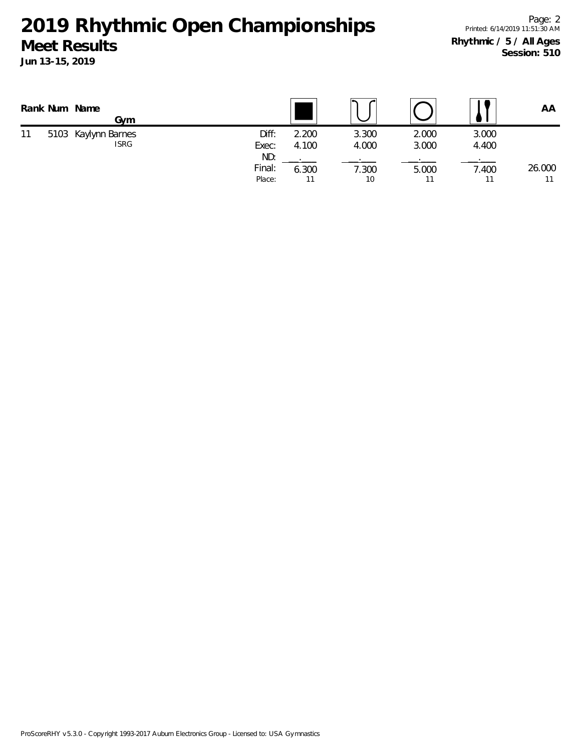|    | Rank Num Name<br>Gvm               |                         |                |                |                |                | AA     |
|----|------------------------------------|-------------------------|----------------|----------------|----------------|----------------|--------|
| 11 | 5103 Kaylynn Barnes<br><b>ISRG</b> | Diff:<br>Exec:          | 2.200<br>4.100 | 3.300<br>4.000 | 2.000<br>3.000 | 3.000<br>4.400 |        |
|    |                                    | ND:<br>Final:<br>Place: | 6.300          | 1.300<br>10    | 5.000          | 7.400          | 26.000 |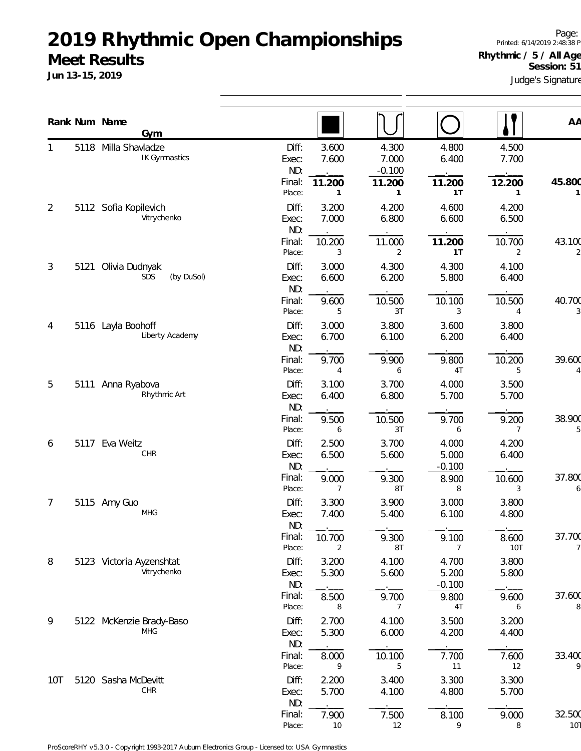**Jun 13-15, 2019**

Judge's Signature Page: Printed: 6/14/2019 2:48:38 PM **Rhythmic / 5 / All Ages** Session: 51

|     |      | Rank Num Name<br>Gym         |                  |                |                    |                   |                | AA          |
|-----|------|------------------------------|------------------|----------------|--------------------|-------------------|----------------|-------------|
| 1   | 5118 | Milla Shavladze              | Diff:            | 3.600          | 4.300              | 4.800             | 4.500          |             |
|     |      | IK Gymnastics                | Exec:<br>ND:     | 7.600          | 7.000              | 6.400             | 7.700          |             |
|     |      |                              | Final:           | 11.200         | $-0.100$<br>11.200 | 11.200            | 12.200         | 45.800      |
|     |      |                              | Place:           | 1              | 1                  | 1T                | 1              |             |
| 2   | 5112 | Sofia Kopilevich             | Diff:            | 3.200          | 4.200              | 4.600             | 4.200          |             |
|     |      | Vitrychenko                  | Exec:            | 7.000          | 6.800              | 6.600             | 6.500          |             |
|     |      |                              | ND:<br>Final:    | 10.200         | 11.000             | 11.200            | 10.700         | 43.100      |
|     |      |                              | Place:           | 3              | 2                  | 1T                | $\overline{2}$ |             |
| 3   | 5121 | Olivia Dudnyak               | Diff:            | 3.000          | 4.300              | 4.300             | 4.100          |             |
|     |      | SDS<br>(by DuSol)            | Exec:            | 6.600          | 6.200              | 5.800             | 6.400          |             |
|     |      |                              | ND:              |                |                    |                   |                |             |
|     |      |                              | Final:<br>Place: | 9.600<br>5     | 10.500<br>3T       | 10.100<br>3       | 10.500<br>4    | 40.700      |
| 4   |      | 5116 Layla Boohoff           | Diff:            | 3.000          | 3.800              | 3.600             | 3.800          |             |
|     |      | Liberty Academy              | Exec:            | 6.700          | 6.100              | 6.200             | 6.400          |             |
|     |      |                              | ND:              |                |                    |                   |                |             |
|     |      |                              | Final:           | 9.700          | 9.900              | 9.800             | 10.200         | 39.600      |
|     |      |                              | Place:           | 4              | 6                  | 4T                | 5              |             |
| 5   | 5111 | Anna Ryabova<br>Rhythmic Art | Diff:<br>Exec:   | 3.100<br>6.400 | 3.700<br>6.800     | 4.000<br>5.700    | 3.500<br>5.700 |             |
|     |      |                              | ND:              |                |                    |                   |                |             |
|     |      |                              | Final:           | 9.500          | 10.500             | 9.700             | 9.200          | 38.900      |
|     |      |                              | Place:           | 6              | 3T                 | 6                 | 7              |             |
| 6   | 5117 | Eva Weitz                    | Diff:            | 2.500          | 3.700              | 4.000             | 4.200          |             |
|     |      | CHR                          | Exec:<br>ND:     | 6.500          | 5.600              | 5.000<br>$-0.100$ | 6.400          |             |
|     |      |                              | Final:           | 9.000          | 9.300              | 8.900             | 10.600         | 37.800      |
|     |      |                              | Place:           | $\overline{7}$ | 8T                 | 8                 | 3              |             |
| 7   |      | 5115 Amy Guo                 | Diff:            | 3.300          | 3.900              | 3.000             | 3.800          |             |
|     |      | MHG                          | Exec:            | 7.400          | 5.400              | 6.100             | 4.800          |             |
|     |      |                              | ND:<br>Final:    | 10.700         | 9.300              | 9.100             | 8.600          | 37.700      |
|     |      |                              | Place:           | 2              | 8T                 | 7                 | 10T            |             |
| 8   |      | 5123 Victoria Ayzenshtat     | Diff:            | 3.200          | 4.100              | 4.700             | 3.800          |             |
|     |      | Vitrychenko                  | Exec:            | 5.300          | 5.600              | 5.200             | 5.800          |             |
|     |      |                              | ND:              |                |                    | $-0.100$          |                |             |
|     |      |                              | Final:<br>Place: | 8.500<br>8     | 9.700<br>7         | 9.800<br>4T       | 9.600<br>6     | 37.600<br>8 |
| 9   |      | 5122 McKenzie Brady-Baso     | Diff:            | 2.700          | 4.100              | 3.500             | 3.200          |             |
|     |      | <b>MHG</b>                   | Exec:            | 5.300          | 6.000              | 4.200             | 4.400          |             |
|     |      |                              | ND:              |                |                    |                   |                |             |
|     |      |                              | Final:           | 8.000          | 10.100             | 7.700             | 7.600          | 33.400      |
|     |      |                              | Place:           | 9              | 5                  | 11                | 12             |             |
| 10T |      | 5120 Sasha McDevitt<br>CHR   | Diff:<br>Exec:   | 2.200<br>5.700 | 3.400<br>4.100     | 3.300<br>4.800    | 3.300<br>5.700 |             |
|     |      |                              | ND:              |                |                    |                   |                |             |
|     |      |                              | Final:           | 7.900          | 7.500              | 8.100             | 9.000          | 32.500      |

Place: 10 12 9 8 10T

ProScoreRHY v5.3.0 - Copyright 1993-2017 Auburn Electronics Group - Licensed to: USA Gymnastics